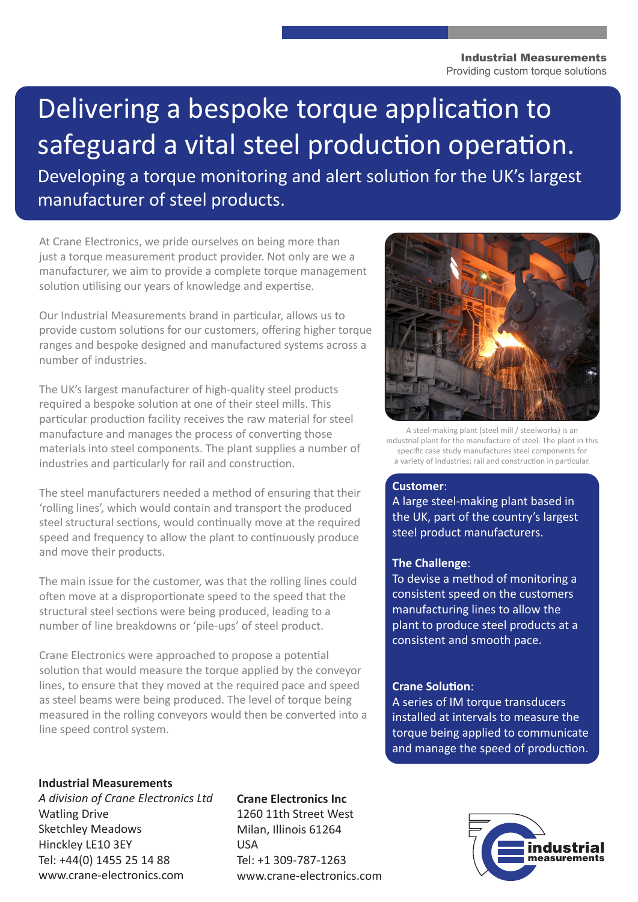#### Industrial Measurements Providing custom torque solutions

# Delivering a bespoke torque application to safeguard a vital steel production operation.

Developing a torque monitoring and alert solution for the UK's largest manufacturer of steel products.

At Crane Electronics, we pride ourselves on being more than just a torque measurement product provider. Not only are we a manufacturer, we aim to provide a complete torque management solution utilising our years of knowledge and expertise.

Our Industrial Measurements brand in particular, allows us to provide custom solutions for our customers, offering higher torque ranges and bespoke designed and manufactured systems across a number of industries.

The UK's largest manufacturer of high-quality steel products required a bespoke solution at one of their steel mills. This particular production facility receives the raw material for steel manufacture and manages the process of converting those materials into steel components. The plant supplies a number of industries and particularly for rail and construction.

The steel manufacturers needed a method of ensuring that their 'rolling lines', which would contain and transport the produced steel structural sections, would continually move at the required speed and frequency to allow the plant to continuously produce and move their products.

The main issue for the customer, was that the rolling lines could often move at a disproportionate speed to the speed that the structural steel sections were being produced, leading to a number of line breakdowns or 'pile-ups' of steel product.

Crane Electronics were approached to propose a potential solution that would measure the torque applied by the conveyor lines, to ensure that they moved at the required pace and speed as steel beams were being produced. The level of torque being measured in the rolling conveyors would then be converted into a line speed control system.



A steel-making plant (steel mill / steelworks) is an industrial plant for the manufacture of steel. The plant in this specific case study manufactures steel components for a variety of industries; rail and construction in particular.

# **Customer**:

A large steel-making plant based in the UK, part of the country's largest steel product manufacturers.

# **The Challenge**:

To devise a method of monitoring a consistent speed on the customers manufacturing lines to allow the plant to produce steel products at a consistent and smooth pace.

# **Crane Solution**:

A series of IM torque transducers installed at intervals to measure the torque being applied to communicate and manage the speed of production.

## **Industrial Measurements**

*A division of Crane Electronics Ltd* Watling Drive Sketchley Meadows Hinckley LE10 3EY Tel: +44(0) 1455 25 14 88 www.crane-electronics.com

## **Crane Electronics Inc**

1260 11th Street West Milan, Illinois 61264 USA Tel: +1 309-787-1263 www.crane-electronics.com